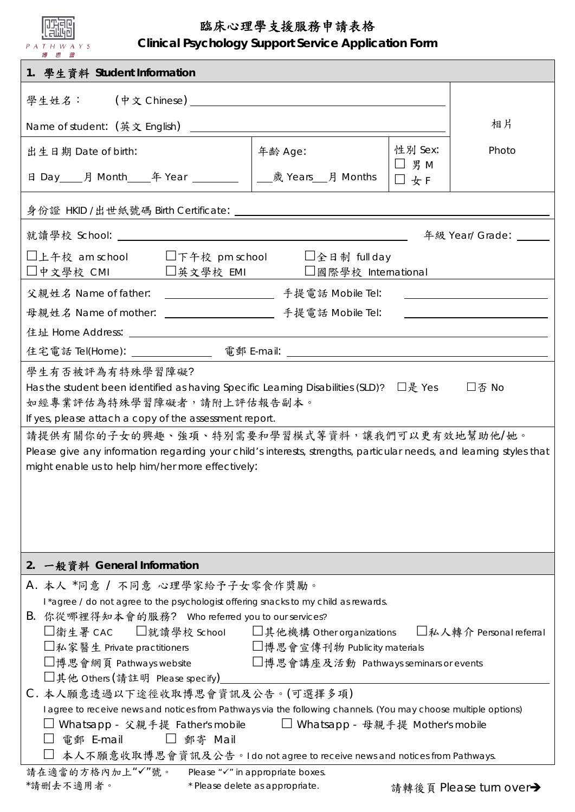| 臨床心理學支援服務申請表格<br><b>Clinical Psychology Support Service Application Form</b><br>P A T H W A Y S<br>博思會                                                                                                                                                                                                                                                                                |           |                                                                                                                                                                                                                                                                       |                           |                        |  |
|---------------------------------------------------------------------------------------------------------------------------------------------------------------------------------------------------------------------------------------------------------------------------------------------------------------------------------------------------------------------------------------|-----------|-----------------------------------------------------------------------------------------------------------------------------------------------------------------------------------------------------------------------------------------------------------------------|---------------------------|------------------------|--|
| 1. 學生資料 Student Information                                                                                                                                                                                                                                                                                                                                                           |           |                                                                                                                                                                                                                                                                       |                           |                        |  |
|                                                                                                                                                                                                                                                                                                                                                                                       |           |                                                                                                                                                                                                                                                                       |                           |                        |  |
| Name of student: (英文 English)                                                                                                                                                                                                                                                                                                                                                         | 相片        |                                                                                                                                                                                                                                                                       |                           |                        |  |
| 出生日期 Date of birth:                                                                                                                                                                                                                                                                                                                                                                   |           | 年齢 Age:                                                                                                                                                                                                                                                               | 性别 Sex:                   | Photo                  |  |
|                                                                                                                                                                                                                                                                                                                                                                                       |           |                                                                                                                                                                                                                                                                       | $\Box$ $\sharp$ M<br>□女 F |                        |  |
|                                                                                                                                                                                                                                                                                                                                                                                       |           |                                                                                                                                                                                                                                                                       |                           |                        |  |
| 年級 Year/ Grade:                                                                                                                                                                                                                                                                                                                                                                       |           |                                                                                                                                                                                                                                                                       |                           |                        |  |
| □上午校 am school   □下午校 pm school   □全日制 full day<br>□中文學校 CMI □英文學校 EMI □國際學校 International                                                                                                                                                                                                                                                                                            |           |                                                                                                                                                                                                                                                                       |                           |                        |  |
|                                                                                                                                                                                                                                                                                                                                                                                       |           |                                                                                                                                                                                                                                                                       |                           |                        |  |
| <u> 1980 - Andrea Station Barbara, politik eta politik eta politik eta politik eta politik eta politik eta politi</u>                                                                                                                                                                                                                                                                 |           |                                                                                                                                                                                                                                                                       |                           |                        |  |
|                                                                                                                                                                                                                                                                                                                                                                                       |           |                                                                                                                                                                                                                                                                       |                           |                        |  |
| 住宅電話 Tel(Home): _________________ 電郵 E-mail: ___________________________________                                                                                                                                                                                                                                                                                                      |           |                                                                                                                                                                                                                                                                       |                           |                        |  |
| If yes, please attach a copy of the assessment report.<br>請提供有關你的子女的興趣、強項、特別需要和學習模式等資料,讓我們可以更有效地幫助他/她。<br>Please give any information regarding your child's interests, strengths, particular needs, and learning styles that<br>might enable us to help him/her more effectively:                                                                                                    |           |                                                                                                                                                                                                                                                                       |                           |                        |  |
| 一般資料 General Information<br>2.                                                                                                                                                                                                                                                                                                                                                        |           |                                                                                                                                                                                                                                                                       |                           |                        |  |
| A. 本人 *同意 / 不同意 心理學家給予子女零食作獎勵。                                                                                                                                                                                                                                                                                                                                                        |           |                                                                                                                                                                                                                                                                       |                           |                        |  |
| I*agree / do not agree to the psychologist offering snacks to my child as rewards.<br>B. 你從哪裡得知本會的服務? Who referred you to our services?<br>□衛生署 CAC  □就讀學校 School  □其他機構 Other organizations  □私人轉介 Personal referral<br>□私家醫生 Private practitioners □博思會宣傳刊物 Publicity materials<br>□博思會網頁 Pathways website □博思會講座及活動 Pathways seminars or events<br>□其他 Others (請註明 Please specify) |           |                                                                                                                                                                                                                                                                       |                           |                        |  |
| C. 本人願意透過以下途徑收取博思會資訊及公告。(可選擇多項)<br>電郵 E-mail                                                                                                                                                                                                                                                                                                                                          | □ 郵寄 Mail | I agree to receive news and notices from Pathways via the following channels. (You may choose multiple options)<br>□ Whatsapp - 父親手提 Father's mobile   □ Whatsapp - 母親手提 Mother's mobile<br>本人不願意收取博思會資訊及公告。I do not agree to receive news and notices from Pathways. |                           |                        |  |
| 請在適當的方格內加上"√"號。 Please "√" in appropriate boxes.<br>*請删去不適用者。                                                                                                                                                                                                                                                                                                                         |           | * Please delete as appropriate.                                                                                                                                                                                                                                       |                           | 請轉後頁 Please turn over→ |  |